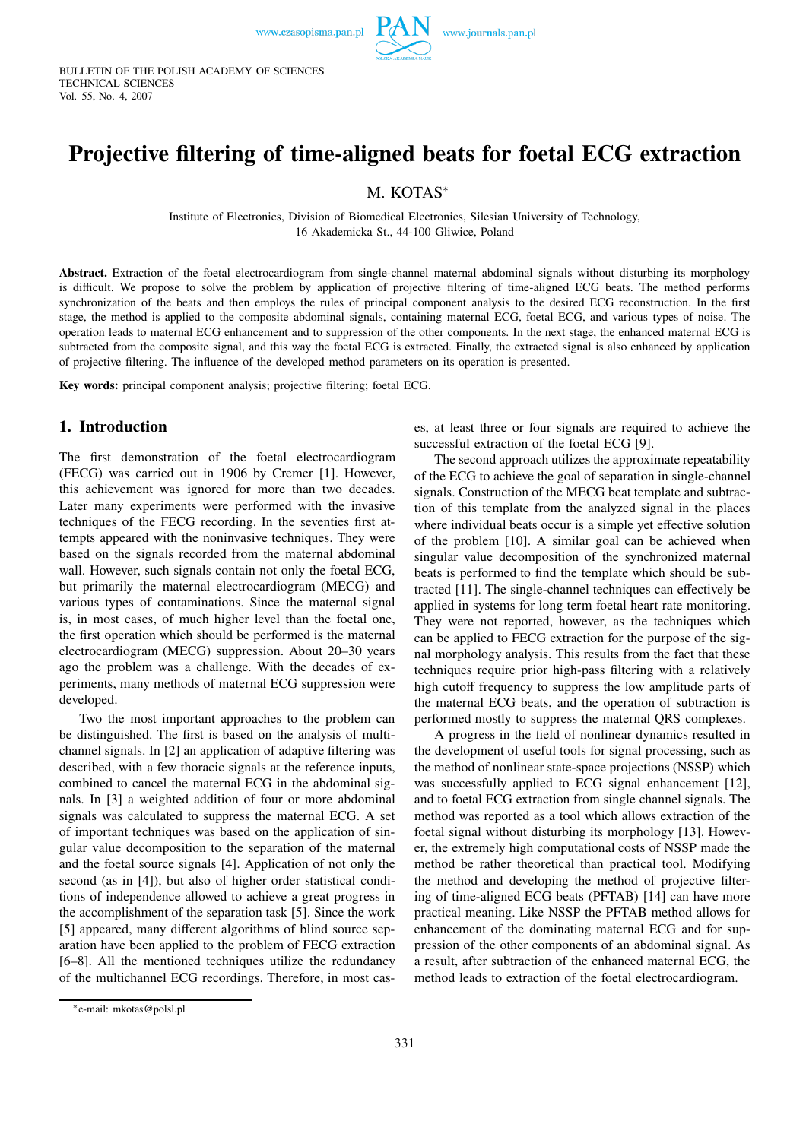

BULLETIN OF THE POLISH ACADEMY OF SCIENCES TECHNICAL SCIENCES Vol. 55, No. 4, 2007

# **Projective filtering of time-aligned beats for foetal ECG extraction**

M. KOTAS<sup>∗</sup>

Institute of Electronics, Division of Biomedical Electronics, Silesian University of Technology, 16 Akademicka St., 44-100 Gliwice, Poland

**Abstract.** Extraction of the foetal electrocardiogram from single-channel maternal abdominal signals without disturbing its morphology is difficult. We propose to solve the problem by application of projective filtering of time-aligned ECG beats. The method performs synchronization of the beats and then employs the rules of principal component analysis to the desired ECG reconstruction. In the first stage, the method is applied to the composite abdominal signals, containing maternal ECG, foetal ECG, and various types of noise. The operation leads to maternal ECG enhancement and to suppression of the other components. In the next stage, the enhanced maternal ECG is subtracted from the composite signal, and this way the foetal ECG is extracted. Finally, the extracted signal is also enhanced by application of projective filtering. The influence of the developed method parameters on its operation is presented.

**Key words:** principal component analysis; projective filtering; foetal ECG.

#### **1. Introduction**

The first demonstration of the foetal electrocardiogram (FECG) was carried out in 1906 by Cremer [1]. However, this achievement was ignored for more than two decades. Later many experiments were performed with the invasive techniques of the FECG recording. In the seventies first attempts appeared with the noninvasive techniques. They were based on the signals recorded from the maternal abdominal wall. However, such signals contain not only the foetal ECG, but primarily the maternal electrocardiogram (MECG) and various types of contaminations. Since the maternal signal is, in most cases, of much higher level than the foetal one, the first operation which should be performed is the maternal electrocardiogram (MECG) suppression. About 20–30 years ago the problem was a challenge. With the decades of experiments, many methods of maternal ECG suppression were developed.

Two the most important approaches to the problem can be distinguished. The first is based on the analysis of multichannel signals. In [2] an application of adaptive filtering was described, with a few thoracic signals at the reference inputs, combined to cancel the maternal ECG in the abdominal signals. In [3] a weighted addition of four or more abdominal signals was calculated to suppress the maternal ECG. A set of important techniques was based on the application of singular value decomposition to the separation of the maternal and the foetal source signals [4]. Application of not only the second (as in [4]), but also of higher order statistical conditions of independence allowed to achieve a great progress in the accomplishment of the separation task [5]. Since the work [5] appeared, many different algorithms of blind source separation have been applied to the problem of FECG extraction [6–8]. All the mentioned techniques utilize the redundancy of the multichannel ECG recordings. Therefore, in most cases, at least three or four signals are required to achieve the successful extraction of the foetal ECG [9].

The second approach utilizes the approximate repeatability of the ECG to achieve the goal of separation in single-channel signals. Construction of the MECG beat template and subtraction of this template from the analyzed signal in the places where individual beats occur is a simple yet effective solution of the problem [10]. A similar goal can be achieved when singular value decomposition of the synchronized maternal beats is performed to find the template which should be subtracted [11]. The single-channel techniques can effectively be applied in systems for long term foetal heart rate monitoring. They were not reported, however, as the techniques which can be applied to FECG extraction for the purpose of the signal morphology analysis. This results from the fact that these techniques require prior high-pass filtering with a relatively high cutoff frequency to suppress the low amplitude parts of the maternal ECG beats, and the operation of subtraction is performed mostly to suppress the maternal QRS complexes.

A progress in the field of nonlinear dynamics resulted in the development of useful tools for signal processing, such as the method of nonlinear state-space projections (NSSP) which was successfully applied to ECG signal enhancement [12], and to foetal ECG extraction from single channel signals. The method was reported as a tool which allows extraction of the foetal signal without disturbing its morphology [13]. However, the extremely high computational costs of NSSP made the method be rather theoretical than practical tool. Modifying the method and developing the method of projective filtering of time-aligned ECG beats (PFTAB) [14] can have more practical meaning. Like NSSP the PFTAB method allows for enhancement of the dominating maternal ECG and for suppression of the other components of an abdominal signal. As a result, after subtraction of the enhanced maternal ECG, the method leads to extraction of the foetal electrocardiogram.

<sup>∗</sup>e-mail: mkotas@polsl.pl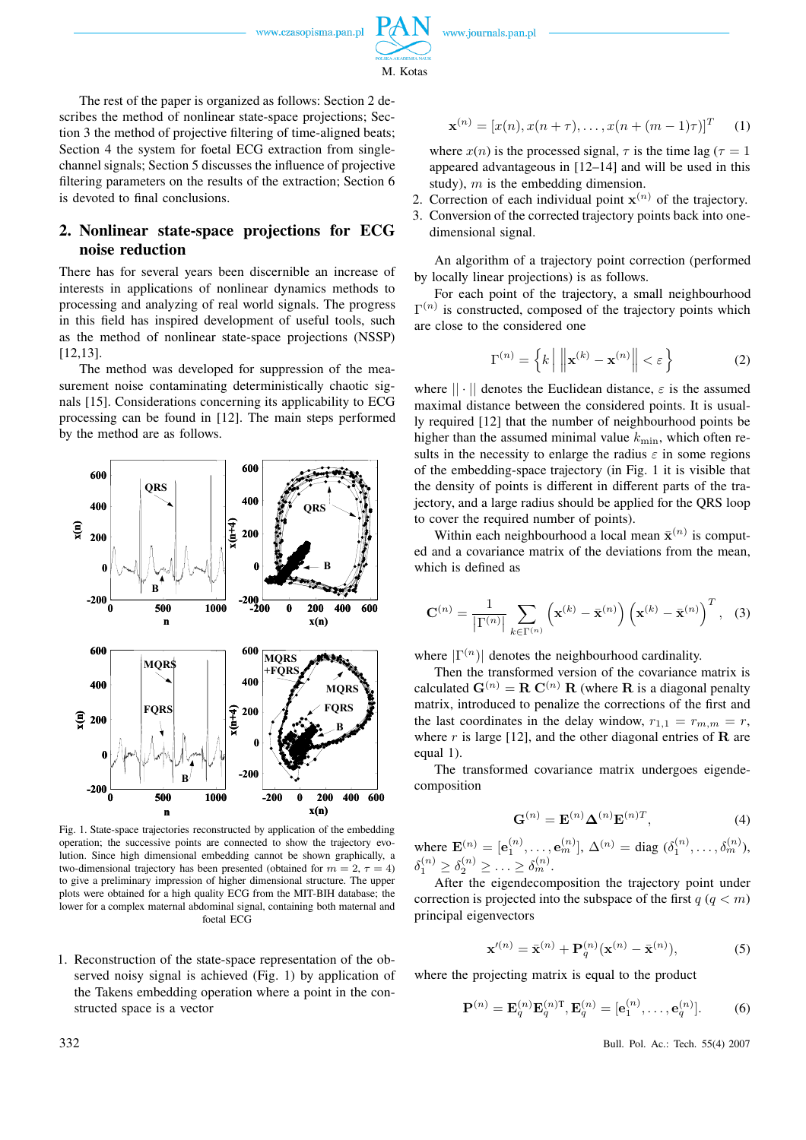

M. Kotas

The rest of the paper is organized as follows: Section 2 describes the method of nonlinear state-space projections; Section 3 the method of projective filtering of time-aligned beats; Section 4 the system for foetal ECG extraction from singlechannel signals; Section 5 discusses the influence of projective filtering parameters on the results of the extraction; Section 6 is devoted to final conclusions.

# **2. Nonlinear state-space projections for ECG noise reduction**

There has for several years been discernible an increase of interests in applications of nonlinear dynamics methods to processing and analyzing of real world signals. The progress in this field has inspired development of useful tools, such as the method of nonlinear state-space projections (NSSP) [12,13].

The method was developed for suppression of the measurement noise contaminating deterministically chaotic signals [15]. Considerations concerning its applicability to ECG processing can be found in [12]. The main steps performed by the method are as follows.



Fig. 1. State-space trajectories reconstructed by application of the embedding operation; the successive points are connected to show the trajectory evolution. Since high dimensional embedding cannot be shown graphically, a two-dimensional trajectory has been presented (obtained for  $m = 2, \tau = 4$ ) to give a preliminary impression of higher dimensional structure. The upper plots were obtained for a high quality ECG from the MIT-BIH database; the lower for a complex maternal abdominal signal, containing both maternal and foetal ECG

1. Reconstruction of the state-space representation of the observed noisy signal is achieved (Fig. 1) by application of the Takens embedding operation where a point in the constructed space is a vector

$$
\mathbf{x}^{(n)} = [x(n), x(n+\tau), \dots, x(n+(m-1)\tau)]^T \quad (1)
$$

where  $x(n)$  is the processed signal,  $\tau$  is the time lag ( $\tau = 1$ ) appeared advantageous in [12–14] and will be used in this study),  $m$  is the embedding dimension.

- 2. Correction of each individual point  $\mathbf{x}^{(n)}$  of the trajectory.
- 3. Conversion of the corrected trajectory points back into onedimensional signal.

An algorithm of a trajectory point correction (performed by locally linear projections) is as follows.

For each point of the trajectory, a small neighbourhood  $\Gamma^{(n)}$  is constructed, composed of the trajectory points which are close to the considered one

$$
\Gamma^{(n)} = \left\{ k \, \middle| \, \left\| \mathbf{x}^{(k)} - \mathbf{x}^{(n)} \right\| < \varepsilon \right\} \tag{2}
$$

where  $|| \cdot ||$  denotes the Euclidean distance,  $\varepsilon$  is the assumed maximal distance between the considered points. It is usually required [12] that the number of neighbourhood points be higher than the assumed minimal value  $k_{\text{min}}$ , which often results in the necessity to enlarge the radius  $\varepsilon$  in some regions of the embedding-space trajectory (in Fig. 1 it is visible that the density of points is different in different parts of the trajectory, and a large radius should be applied for the QRS loop to cover the required number of points).

Within each neighbourhood a local mean  $\bar{\mathbf{x}}^{(n)}$  is computed and a covariance matrix of the deviations from the mean, which is defined as

$$
\mathbf{C}^{(n)} = \frac{1}{\left|\Gamma^{(n)}\right|} \sum_{k \in \Gamma^{(n)}} \left(\mathbf{x}^{(k)} - \bar{\mathbf{x}}^{(n)}\right) \left(\mathbf{x}^{(k)} - \bar{\mathbf{x}}^{(n)}\right)^T, \quad (3)
$$

where  $|\Gamma^{(n)}|$  denotes the neighbourhood cardinality.

Then the transformed version of the covariance matrix is calculated  $G^{(n)} = R C^{(n)} R$  (where R is a diagonal penalty matrix, introduced to penalize the corrections of the first and the last coordinates in the delay window,  $r_{1,1} = r_{m,m} = r$ , where r is large [12], and the other diagonal entries of  **are** equal 1).

The transformed covariance matrix undergoes eigendecomposition

$$
\mathbf{G}^{(n)} = \mathbf{E}^{(n)} \mathbf{\Delta}^{(n)} \mathbf{E}^{(n)T}, \tag{4}
$$

where  $\mathbf{E}^{(n)} = [\mathbf{e}_1^{(n)}, \dots, \mathbf{e}_m^{(n)}], \Delta^{(n)} = \text{diag}(\delta_1^{(n)}, \dots, \delta_m^{(n)}),$  $\delta_1^{(n)} \geq \delta_2^{(n)} \geq \ldots \geq \delta_m^{(n)}.$ 

After the eigendecomposition the trajectory point under correction is projected into the subspace of the first  $q (q < m)$ principal eigenvectors

$$
\mathbf{x}'^{(n)} = \bar{\mathbf{x}}^{(n)} + \mathbf{P}_q^{(n)} (\mathbf{x}^{(n)} - \bar{\mathbf{x}}^{(n)}),
$$
 (5)

where the projecting matrix is equal to the product

$$
\mathbf{P}^{(n)} = \mathbf{E}_q^{(n)} \mathbf{E}_q^{(n)T}, \mathbf{E}_q^{(n)} = [\mathbf{e}_1^{(n)}, \dots, \mathbf{e}_q^{(n)}].
$$
 (6)

**332** Bull. Pol. Ac.: Tech. 55(4) 2007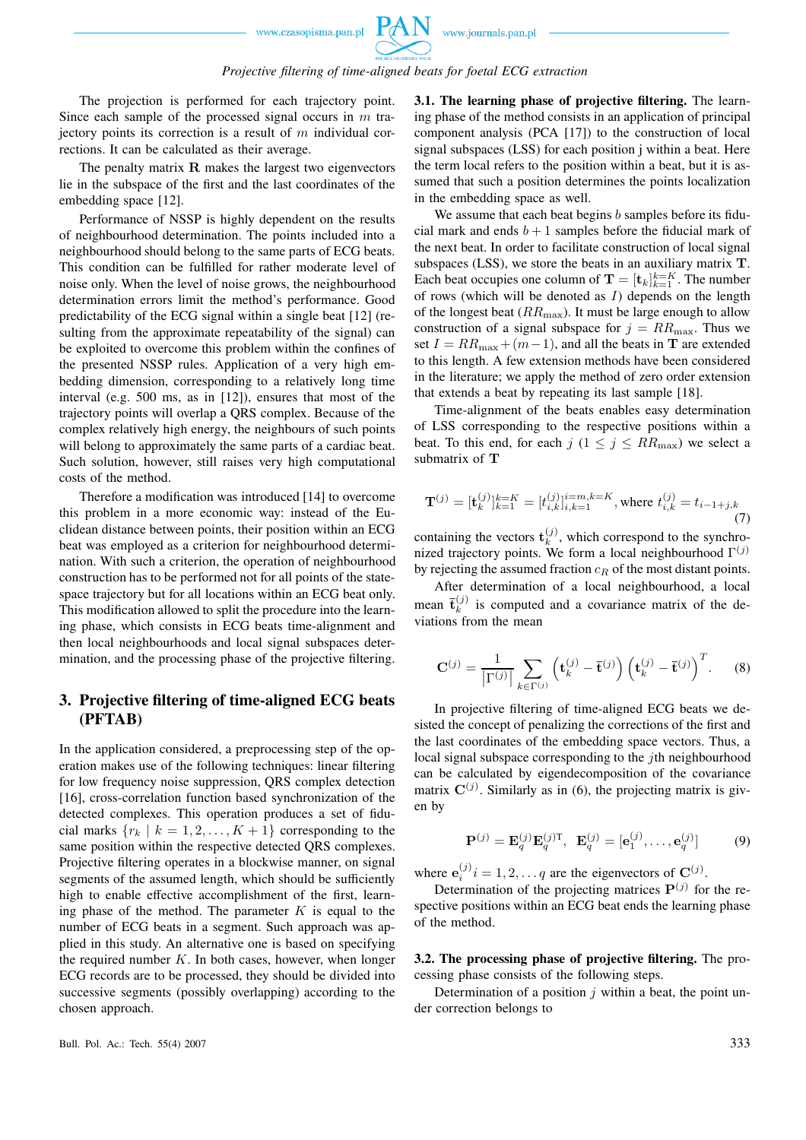PAN

The projection is performed for each trajectory point. Since each sample of the processed signal occurs in  $m$  traiectory points its correction is a result of  $m$  individual corrections. It can be calculated as their average.

The penalty matrix R makes the largest two eigenvectors lie in the subspace of the first and the last coordinates of the embedding space [12].

Performance of NSSP is highly dependent on the results of neighbourhood determination. The points included into a neighbourhood should belong to the same parts of ECG beats. This condition can be fulfilled for rather moderate level of noise only. When the level of noise grows, the neighbourhood determination errors limit the method's performance. Good predictability of the ECG signal within a single beat [12] (resulting from the approximate repeatability of the signal) can be exploited to overcome this problem within the confines of the presented NSSP rules. Application of a very high embedding dimension, corresponding to a relatively long time interval (e.g. 500 ms, as in [12]), ensures that most of the trajectory points will overlap a QRS complex. Because of the complex relatively high energy, the neighbours of such points will belong to approximately the same parts of a cardiac beat. Such solution, however, still raises very high computational costs of the method.

Therefore a modification was introduced [14] to overcome this problem in a more economic way: instead of the Euclidean distance between points, their position within an ECG beat was employed as a criterion for neighbourhood determination. With such a criterion, the operation of neighbourhood construction has to be performed not for all points of the statespace trajectory but for all locations within an ECG beat only. This modification allowed to split the procedure into the learning phase, which consists in ECG beats time-alignment and then local neighbourhoods and local signal subspaces determination, and the processing phase of the projective filtering.

## **3. Projective filtering of time-aligned ECG beats (PFTAB)**

In the application considered, a preprocessing step of the operation makes use of the following techniques: linear filtering for low frequency noise suppression, QRS complex detection [16], cross-correlation function based synchronization of the detected complexes. This operation produces a set of fiducial marks  $\{r_k \mid k = 1, 2, \ldots, K + 1\}$  corresponding to the same position within the respective detected QRS complexes. Projective filtering operates in a blockwise manner, on signal segments of the assumed length, which should be sufficiently high to enable effective accomplishment of the first, learning phase of the method. The parameter  $K$  is equal to the number of ECG beats in a segment. Such approach was applied in this study. An alternative one is based on specifying the required number  $K$ . In both cases, however, when longer ECG records are to be processed, they should be divided into successive segments (possibly overlapping) according to the chosen approach.

**3.1. The learning phase of projective filtering.** The learning phase of the method consists in an application of principal component analysis (PCA [17]) to the construction of local signal subspaces (LSS) for each position j within a beat. Here the term local refers to the position within a beat, but it is assumed that such a position determines the points localization in the embedding space as well.

We assume that each beat begins  $b$  samples before its fiducial mark and ends  $b + 1$  samples before the fiducial mark of the next beat. In order to facilitate construction of local signal subspaces (LSS), we store the beats in an auxiliary matrix T. Each beat occupies one column of  $\mathbf{T} = [\mathbf{t}_k]_{k=1}^{k=K}$ . The number of rows (which will be denoted as  $I$ ) depends on the length of the longest beat  $(RR_{\text{max}})$ . It must be large enough to allow construction of a signal subspace for  $j = RR_{\text{max}}$ . Thus we set  $I = RR_{\text{max}} + (m-1)$ , and all the beats in **T** are extended to this length. A few extension methods have been considered in the literature; we apply the method of zero order extension that extends a beat by repeating its last sample [18].

Time-alignment of the beats enables easy determination of LSS corresponding to the respective positions within a beat. To this end, for each  $j$  ( $1 \le j \le RR_{\text{max}}$ ) we select a submatrix of T

$$
\mathbf{T}^{(j)} = [\mathbf{t}_k^{(j)}]_{k=1}^{k=K} = [t_{i,k}^{(j)}]_{i,k=1}^{i=m,k=K}, \text{where } t_{i,k}^{(j)} = t_{i-1+j,k}
$$
\n(7)

containing the vectors  $\mathbf{t}_k^{(j)}$  $\kappa^{(J)}$ , which correspond to the synchronized trajectory points. We form a local neighbourhood  $\Gamma^{(j)}$ by rejecting the assumed fraction  $c_R$  of the most distant points.

After determination of a local neighbourhood, a local mean  $\bar{\mathbf{t}}_k^{(j)}$  $\binom{1}{k}$  is computed and a covariance matrix of the deviations from the mean

$$
\mathbf{C}^{(j)} = \frac{1}{|\Gamma^{(j)}|} \sum_{k \in \Gamma^{(j)}} \left( \mathbf{t}_k^{(j)} - \bar{\mathbf{t}}^{(j)} \right) \left( \mathbf{t}_k^{(j)} - \bar{\mathbf{t}}^{(j)} \right)^T. \tag{8}
$$

In projective filtering of time-aligned ECG beats we desisted the concept of penalizing the corrections of the first and the last coordinates of the embedding space vectors. Thus, a local signal subspace corresponding to the *j*th neighbourhood can be calculated by eigendecomposition of the covariance matrix  $\mathbf{C}^{(j)}$ . Similarly as in (6), the projecting matrix is given by

$$
\mathbf{P}^{(j)} = \mathbf{E}_q^{(j)} \mathbf{E}_q^{(j)T}, \ \mathbf{E}_q^{(j)} = [\mathbf{e}_1^{(j)}, \dots, \mathbf{e}_q^{(j)}]
$$
(9)

where  $e_i^{(j)} i = 1, 2, \dots q$  are the eigenvectors of  $C^{(j)}$ .

Determination of the projecting matrices  $P^{(j)}$  for the respective positions within an ECG beat ends the learning phase of the method.

**3.2. The processing phase of projective filtering.** The processing phase consists of the following steps.

Determination of a position  $j$  within a beat, the point under correction belongs to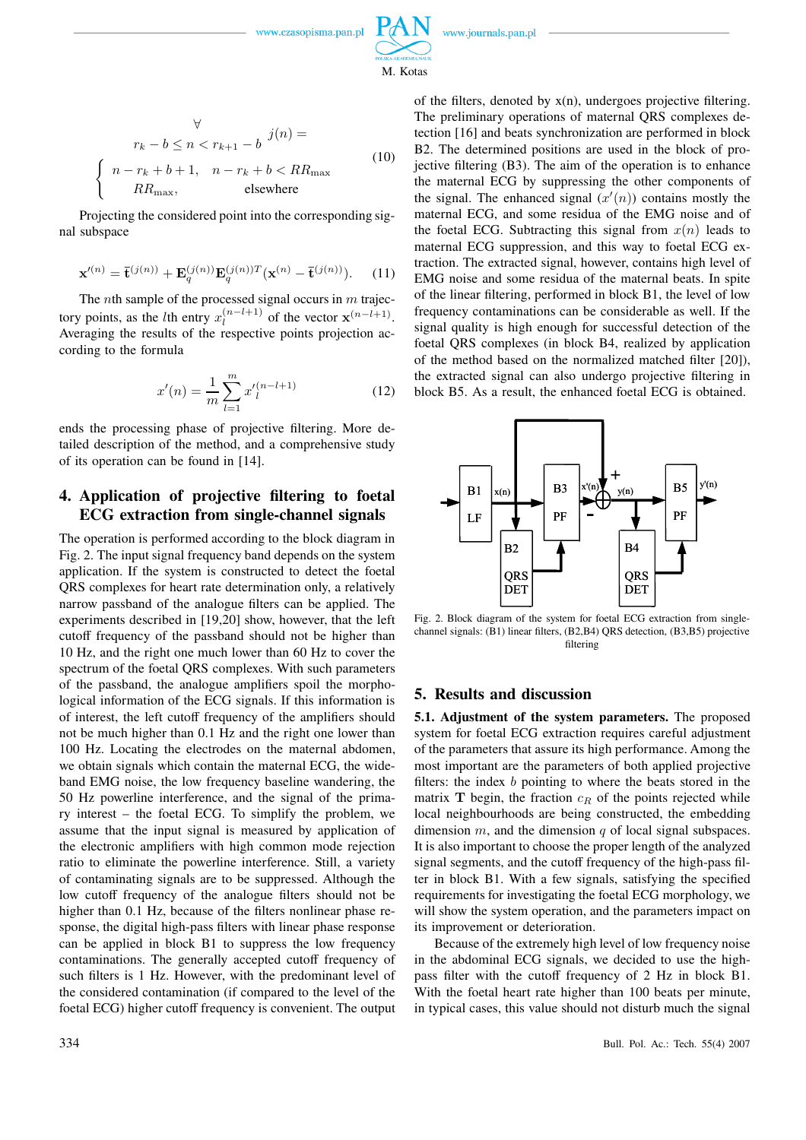

M. Kotas

$$
\forall
$$
\n
$$
r_k - b \le n < r_{k+1} - b
$$
\n
$$
\begin{cases}\nn - r_k + b + 1, & n - r_k + b < RR_{\text{max}} \\
RR_{\text{max}}, & \text{elsewhere}\n\end{cases}
$$
\n
$$
(10)
$$

Projecting the considered point into the corresponding signal subspace

$$
\mathbf{x}'^{(n)} = \mathbf{\bar{t}}^{(j(n))} + \mathbf{E}_q^{(j(n))} \mathbf{E}_q^{(j(n))T} (\mathbf{x}^{(n)} - \mathbf{\bar{t}}^{(j(n))}). \tag{11}
$$

The *n*th sample of the processed signal occurs in  $m$  trajectory points, as the *l*th entry  $x_l^{(n-l+1)}$  $\binom{n-l+1}{l}$  of the vector  $\mathbf{x}^{(n-l+1)}$ . Averaging the results of the respective points projection according to the formula

$$
x'(n) = \frac{1}{m} \sum_{l=1}^{m} x'_l^{(n-l+1)}
$$
 (12)

ends the processing phase of projective filtering. More detailed description of the method, and a comprehensive study of its operation can be found in [14].

# **4. Application of projective filtering to foetal ECG extraction from single-channel signals**

The operation is performed according to the block diagram in Fig. 2. The input signal frequency band depends on the system application. If the system is constructed to detect the foetal QRS complexes for heart rate determination only, a relatively narrow passband of the analogue filters can be applied. The experiments described in [19,20] show, however, that the left cutoff frequency of the passband should not be higher than 10 Hz, and the right one much lower than 60 Hz to cover the spectrum of the foetal QRS complexes. With such parameters of the passband, the analogue amplifiers spoil the morphological information of the ECG signals. If this information is of interest, the left cutoff frequency of the amplifiers should not be much higher than 0.1 Hz and the right one lower than 100 Hz. Locating the electrodes on the maternal abdomen, we obtain signals which contain the maternal ECG, the wideband EMG noise, the low frequency baseline wandering, the 50 Hz powerline interference, and the signal of the primary interest – the foetal ECG. To simplify the problem, we assume that the input signal is measured by application of the electronic amplifiers with high common mode rejection ratio to eliminate the powerline interference. Still, a variety of contaminating signals are to be suppressed. Although the low cutoff frequency of the analogue filters should not be higher than 0.1 Hz, because of the filters nonlinear phase response, the digital high-pass filters with linear phase response can be applied in block B1 to suppress the low frequency contaminations. The generally accepted cutoff frequency of such filters is 1 Hz. However, with the predominant level of the considered contamination (if compared to the level of the foetal ECG) higher cutoff frequency is convenient. The output of the filters, denoted by  $x(n)$ , undergoes projective filtering. The preliminary operations of maternal QRS complexes detection [16] and beats synchronization are performed in block B2. The determined positions are used in the block of projective filtering (B3). The aim of the operation is to enhance the maternal ECG by suppressing the other components of the signal. The enhanced signal  $(x'(n))$  contains mostly the maternal ECG, and some residua of the EMG noise and of the foetal ECG. Subtracting this signal from  $x(n)$  leads to maternal ECG suppression, and this way to foetal ECG extraction. The extracted signal, however, contains high level of EMG noise and some residua of the maternal beats. In spite of the linear filtering, performed in block B1, the level of low frequency contaminations can be considerable as well. If the signal quality is high enough for successful detection of the foetal QRS complexes (in block B4, realized by application of the method based on the normalized matched filter [20]), the extracted signal can also undergo projective filtering in block B5. As a result, the enhanced foetal ECG is obtained.



Fig. 2. Block diagram of the system for foetal ECG extraction from singlechannel signals: (B1) linear filters, (B2,B4) QRS detection, (B3,B5) projective filtering

### **5. Results and discussion**

**5.1. Adjustment of the system parameters.** The proposed system for foetal ECG extraction requires careful adjustment of the parameters that assure its high performance. Among the most important are the parameters of both applied projective filters: the index  $b$  pointing to where the beats stored in the matrix  $\mathbf T$  begin, the fraction  $c_R$  of the points rejected while local neighbourhoods are being constructed, the embedding dimension  $m$ , and the dimension  $q$  of local signal subspaces. It is also important to choose the proper length of the analyzed signal segments, and the cutoff frequency of the high-pass filter in block B1. With a few signals, satisfying the specified requirements for investigating the foetal ECG morphology, we will show the system operation, and the parameters impact on its improvement or deterioration.

Because of the extremely high level of low frequency noise in the abdominal ECG signals, we decided to use the highpass filter with the cutoff frequency of 2 Hz in block B1. With the foetal heart rate higher than 100 beats per minute, in typical cases, this value should not disturb much the signal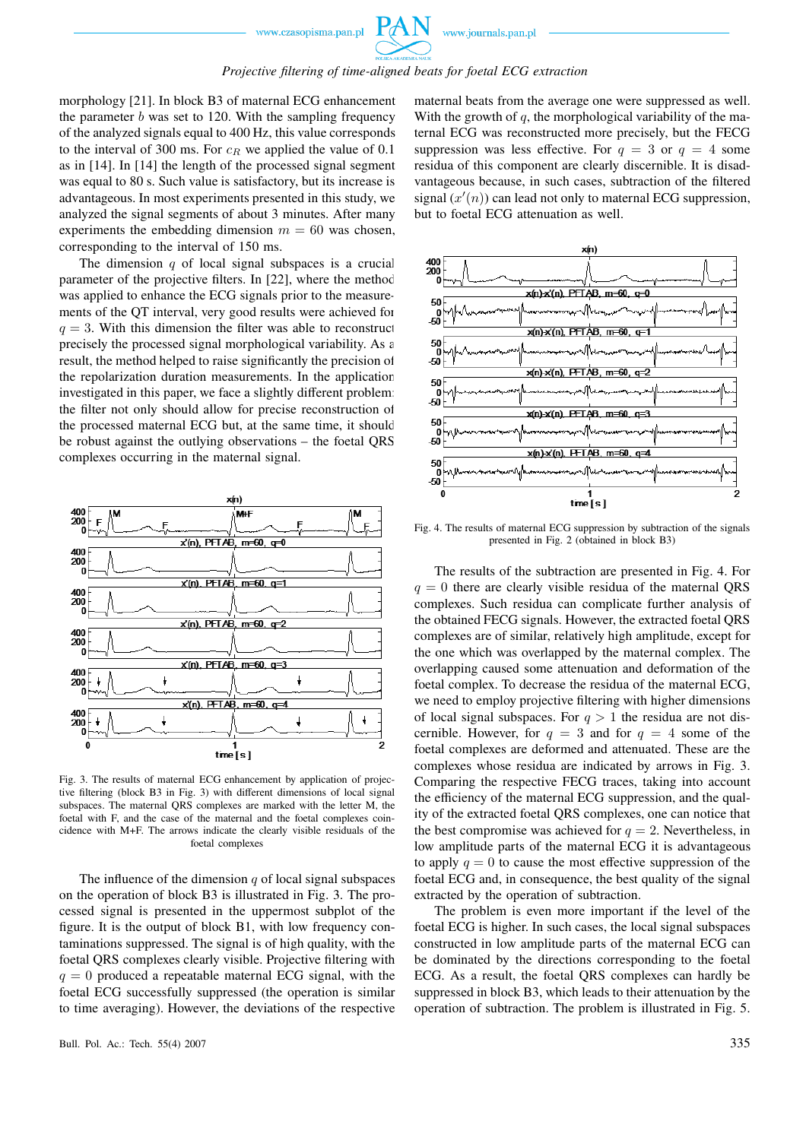### *Projective filtering of time-aligned beats for foetal ECG extraction*

morphology [21]. In block B3 of maternal ECG enhancement the parameter  $b$  was set to 120. With the sampling frequency of the analyzed signals equal to 400 Hz, this value corresponds to the interval of 300 ms. For  $c_R$  we applied the value of 0.1 as in [14]. In [14] the length of the processed signal segment was equal to 80 s. Such value is satisfactory, but its increase is advantageous. In most experiments presented in this study, we analyzed the signal segments of about 3 minutes. After many experiments the embedding dimension  $m = 60$  was chosen, corresponding to the interval of 150 ms.

The dimension  $q$  of local signal subspaces is a crucial parameter of the projective filters. In [22], where the method was applied to enhance the ECG signals prior to the measurements of the QT interval, very good results were achieved for  $q = 3$ . With this dimension the filter was able to reconstruct precisely the processed signal morphological variability. As a result, the method helped to raise significantly the precision of the repolarization duration measurements. In the application investigated in this paper, we face a slightly different problem: the filter not only should allow for precise reconstruction of the processed maternal ECG but, at the same time, it should be robust against the outlying observations – the foetal QRS complexes occurring in the maternal signal.



Fig. 3. The results of maternal ECG enhancement by application of projective filtering (block B3 in Fig. 3) with different dimensions of local signal subspaces. The maternal QRS complexes are marked with the letter M, the foetal with F, and the case of the maternal and the foetal complexes coincidence with M+F. The arrows indicate the clearly visible residuals of the foetal complexes

The influence of the dimension  $q$  of local signal subspaces on the operation of block B3 is illustrated in Fig. 3. The processed signal is presented in the uppermost subplot of the figure. It is the output of block B1, with low frequency contaminations suppressed. The signal is of high quality, with the foetal QRS complexes clearly visible. Projective filtering with  $q = 0$  produced a repeatable maternal ECG signal, with the foetal ECG successfully suppressed (the operation is similar to time averaging). However, the deviations of the respective maternal beats from the average one were suppressed as well. With the growth of  $q$ , the morphological variability of the maternal ECG was reconstructed more precisely, but the FECG suppression was less effective. For  $q = 3$  or  $q = 4$  some residua of this component are clearly discernible. It is disadvantageous because, in such cases, subtraction of the filtered signal  $(x'(n))$  can lead not only to maternal ECG suppression, but to foetal ECG attenuation as well.



Fig. 4. The results of maternal ECG suppression by subtraction of the signals presented in Fig. 2 (obtained in block B3)

The results of the subtraction are presented in Fig. 4. For  $q = 0$  there are clearly visible residua of the maternal QRS complexes. Such residua can complicate further analysis of the obtained FECG signals. However, the extracted foetal QRS complexes are of similar, relatively high amplitude, except for the one which was overlapped by the maternal complex. The overlapping caused some attenuation and deformation of the foetal complex. To decrease the residua of the maternal ECG, we need to employ projective filtering with higher dimensions of local signal subspaces. For  $q > 1$  the residua are not discernible. However, for  $q = 3$  and for  $q = 4$  some of the foetal complexes are deformed and attenuated. These are the complexes whose residua are indicated by arrows in Fig. 3. Comparing the respective FECG traces, taking into account the efficiency of the maternal ECG suppression, and the quality of the extracted foetal QRS complexes, one can notice that the best compromise was achieved for  $q = 2$ . Nevertheless, in low amplitude parts of the maternal ECG it is advantageous to apply  $q = 0$  to cause the most effective suppression of the foetal ECG and, in consequence, the best quality of the signal extracted by the operation of subtraction.

The problem is even more important if the level of the foetal ECG is higher. In such cases, the local signal subspaces constructed in low amplitude parts of the maternal ECG can be dominated by the directions corresponding to the foetal ECG. As a result, the foetal QRS complexes can hardly be suppressed in block B3, which leads to their attenuation by the operation of subtraction. The problem is illustrated in Fig. 5.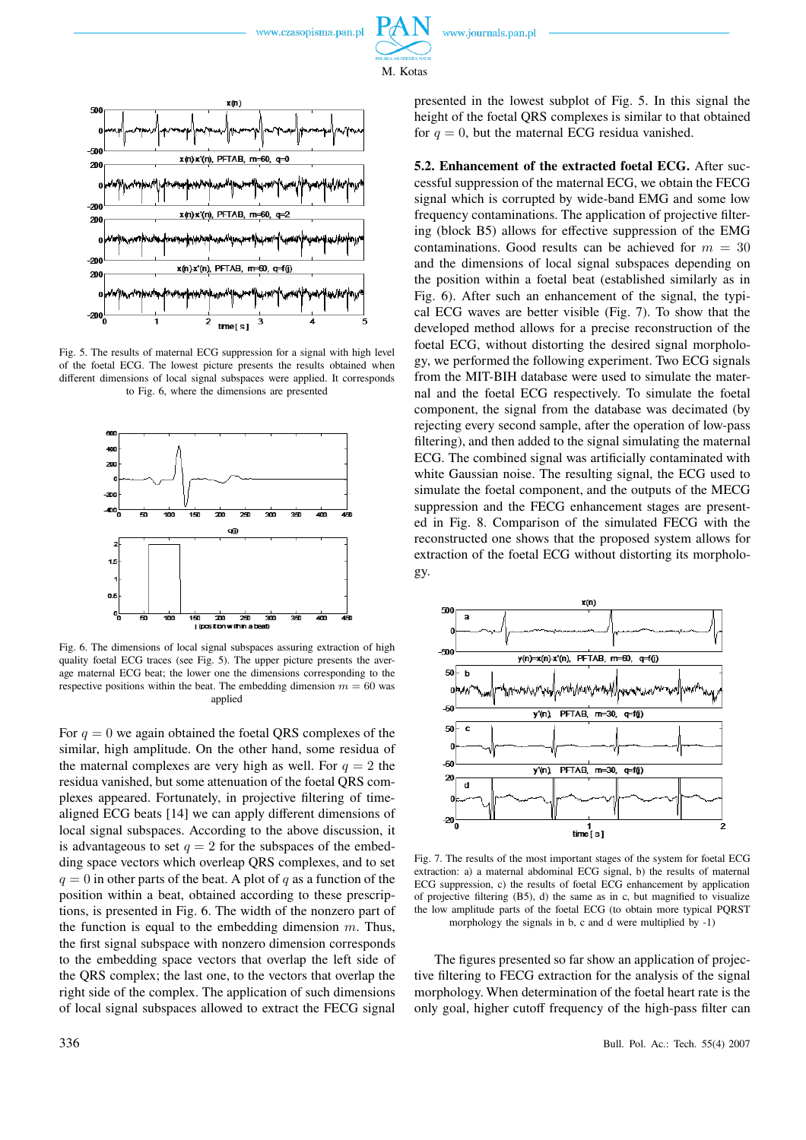



Fig. 5. The results of maternal ECG suppression for a signal with high level of the foetal ECG. The lowest picture presents the results obtained when different dimensions of local signal subspaces were applied. It corresponds to Fig. 6, where the dimensions are presented



Fig. 6. The dimensions of local signal subspaces assuring extraction of high quality foetal ECG traces (see Fig. 5). The upper picture presents the average maternal ECG beat; the lower one the dimensions corresponding to the respective positions within the beat. The embedding dimension  $m = 60$  was applied

For  $q = 0$  we again obtained the foetal QRS complexes of the similar, high amplitude. On the other hand, some residua of the maternal complexes are very high as well. For  $q = 2$  the residua vanished, but some attenuation of the foetal QRS complexes appeared. Fortunately, in projective filtering of timealigned ECG beats [14] we can apply different dimensions of local signal subspaces. According to the above discussion, it is advantageous to set  $q = 2$  for the subspaces of the embedding space vectors which overleap QRS complexes, and to set  $q = 0$  in other parts of the beat. A plot of q as a function of the position within a beat, obtained according to these prescriptions, is presented in Fig. 6. The width of the nonzero part of the function is equal to the embedding dimension  $m$ . Thus, the first signal subspace with nonzero dimension corresponds to the embedding space vectors that overlap the left side of the QRS complex; the last one, to the vectors that overlap the right side of the complex. The application of such dimensions of local signal subspaces allowed to extract the FECG signal

presented in the lowest subplot of Fig. 5. In this signal the height of the foetal QRS complexes is similar to that obtained for  $q = 0$ , but the maternal ECG residua vanished.

**5.2. Enhancement of the extracted foetal ECG.** After successful suppression of the maternal ECG, we obtain the FECG signal which is corrupted by wide-band EMG and some low frequency contaminations. The application of projective filtering (block B5) allows for effective suppression of the EMG contaminations. Good results can be achieved for  $m = 30$ and the dimensions of local signal subspaces depending on the position within a foetal beat (established similarly as in Fig. 6). After such an enhancement of the signal, the typical ECG waves are better visible (Fig. 7). To show that the developed method allows for a precise reconstruction of the foetal ECG, without distorting the desired signal morphology, we performed the following experiment. Two ECG signals from the MIT-BIH database were used to simulate the maternal and the foetal ECG respectively. To simulate the foetal component, the signal from the database was decimated (by rejecting every second sample, after the operation of low-pass filtering), and then added to the signal simulating the maternal ECG. The combined signal was artificially contaminated with white Gaussian noise. The resulting signal, the ECG used to simulate the foetal component, and the outputs of the MECG suppression and the FECG enhancement stages are presented in Fig. 8. Comparison of the simulated FECG with the reconstructed one shows that the proposed system allows for extraction of the foetal ECG without distorting its morphology.



Fig. 7. The results of the most important stages of the system for foetal ECG extraction: a) a maternal abdominal ECG signal, b) the results of maternal ECG suppression, c) the results of foetal ECG enhancement by application of projective filtering (B5), d) the same as in c, but magnified to visualize the low amplitude parts of the foetal ECG (to obtain more typical PQRST morphology the signals in b, c and d were multiplied by -1)

The figures presented so far show an application of projective filtering to FECG extraction for the analysis of the signal morphology. When determination of the foetal heart rate is the only goal, higher cutoff frequency of the high-pass filter can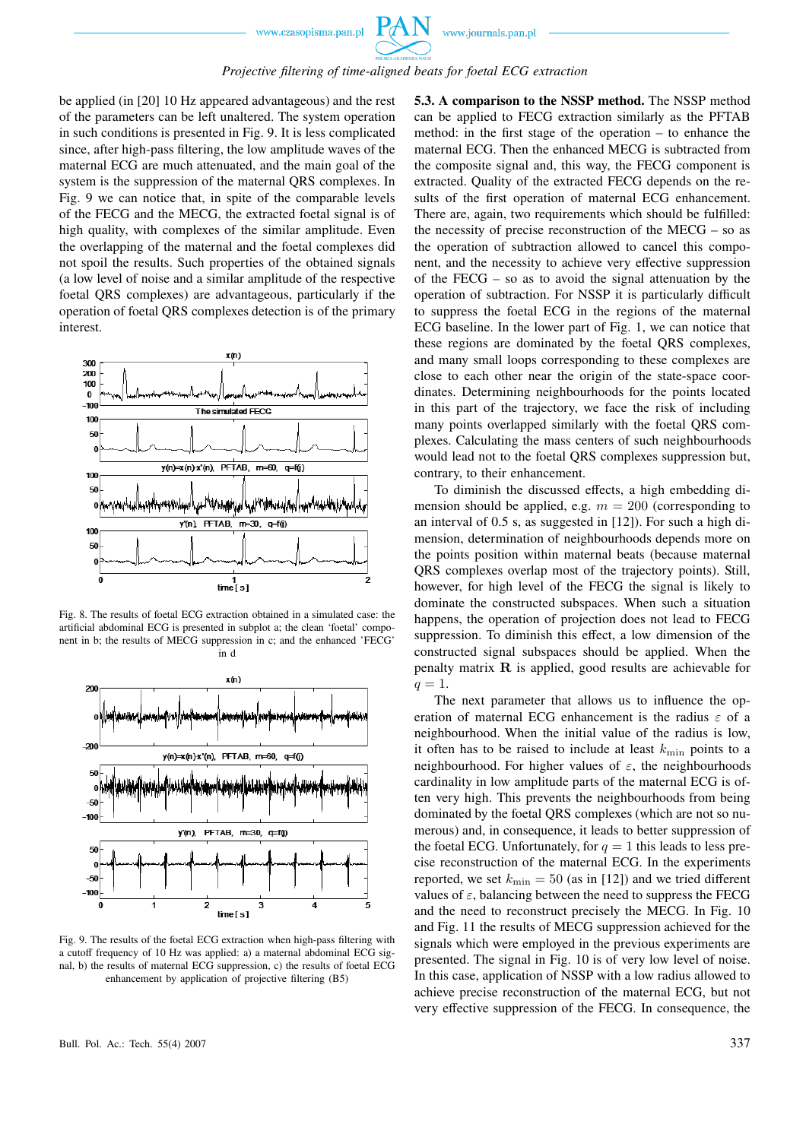

#### *Projective filtering of time-aligned beats for foetal ECG extraction*

be applied (in [20] 10 Hz appeared advantageous) and the rest of the parameters can be left unaltered. The system operation in such conditions is presented in Fig. 9. It is less complicated since, after high-pass filtering, the low amplitude waves of the maternal ECG are much attenuated, and the main goal of the system is the suppression of the maternal QRS complexes. In Fig. 9 we can notice that, in spite of the comparable levels of the FECG and the MECG, the extracted foetal signal is of high quality, with complexes of the similar amplitude. Even the overlapping of the maternal and the foetal complexes did not spoil the results. Such properties of the obtained signals (a low level of noise and a similar amplitude of the respective foetal QRS complexes) are advantageous, particularly if the operation of foetal QRS complexes detection is of the primary interest.



Fig. 8. The results of foetal ECG extraction obtained in a simulated case: the artificial abdominal ECG is presented in subplot a; the clean 'foetal' component in b; the results of MECG suppression in c; and the enhanced 'FECG' in d



Fig. 9. The results of the foetal ECG extraction when high-pass filtering with a cutoff frequency of 10 Hz was applied: a) a maternal abdominal ECG signal, b) the results of maternal ECG suppression, c) the results of foetal ECG enhancement by application of projective filtering (B5)

**5.3. A comparison to the NSSP method.** The NSSP method can be applied to FECG extraction similarly as the PFTAB method: in the first stage of the operation – to enhance the maternal ECG. Then the enhanced MECG is subtracted from the composite signal and, this way, the FECG component is extracted. Quality of the extracted FECG depends on the results of the first operation of maternal ECG enhancement. There are, again, two requirements which should be fulfilled: the necessity of precise reconstruction of the MECG – so as the operation of subtraction allowed to cancel this component, and the necessity to achieve very effective suppression of the FECG – so as to avoid the signal attenuation by the operation of subtraction. For NSSP it is particularly difficult to suppress the foetal ECG in the regions of the maternal ECG baseline. In the lower part of Fig. 1, we can notice that these regions are dominated by the foetal QRS complexes, and many small loops corresponding to these complexes are close to each other near the origin of the state-space coordinates. Determining neighbourhoods for the points located in this part of the trajectory, we face the risk of including many points overlapped similarly with the foetal QRS complexes. Calculating the mass centers of such neighbourhoods would lead not to the foetal QRS complexes suppression but, contrary, to their enhancement.

To diminish the discussed effects, a high embedding dimension should be applied, e.g.  $m = 200$  (corresponding to an interval of 0.5 s, as suggested in [12]). For such a high dimension, determination of neighbourhoods depends more on the points position within maternal beats (because maternal QRS complexes overlap most of the trajectory points). Still, however, for high level of the FECG the signal is likely to dominate the constructed subspaces. When such a situation happens, the operation of projection does not lead to FECG suppression. To diminish this effect, a low dimension of the constructed signal subspaces should be applied. When the penalty matrix  $\bf{R}$  is applied, good results are achievable for  $q=1.$ 

The next parameter that allows us to influence the operation of maternal ECG enhancement is the radius  $\varepsilon$  of a neighbourhood. When the initial value of the radius is low, it often has to be raised to include at least  $k_{\text{min}}$  points to a neighbourhood. For higher values of  $\varepsilon$ , the neighbourhoods cardinality in low amplitude parts of the maternal ECG is often very high. This prevents the neighbourhoods from being dominated by the foetal QRS complexes (which are not so numerous) and, in consequence, it leads to better suppression of the foetal ECG. Unfortunately, for  $q = 1$  this leads to less precise reconstruction of the maternal ECG. In the experiments reported, we set  $k_{\text{min}} = 50$  (as in [12]) and we tried different values of  $\varepsilon$ , balancing between the need to suppress the FECG and the need to reconstruct precisely the MECG. In Fig. 10 and Fig. 11 the results of MECG suppression achieved for the signals which were employed in the previous experiments are presented. The signal in Fig. 10 is of very low level of noise. In this case, application of NSSP with a low radius allowed to achieve precise reconstruction of the maternal ECG, but not very effective suppression of the FECG. In consequence, the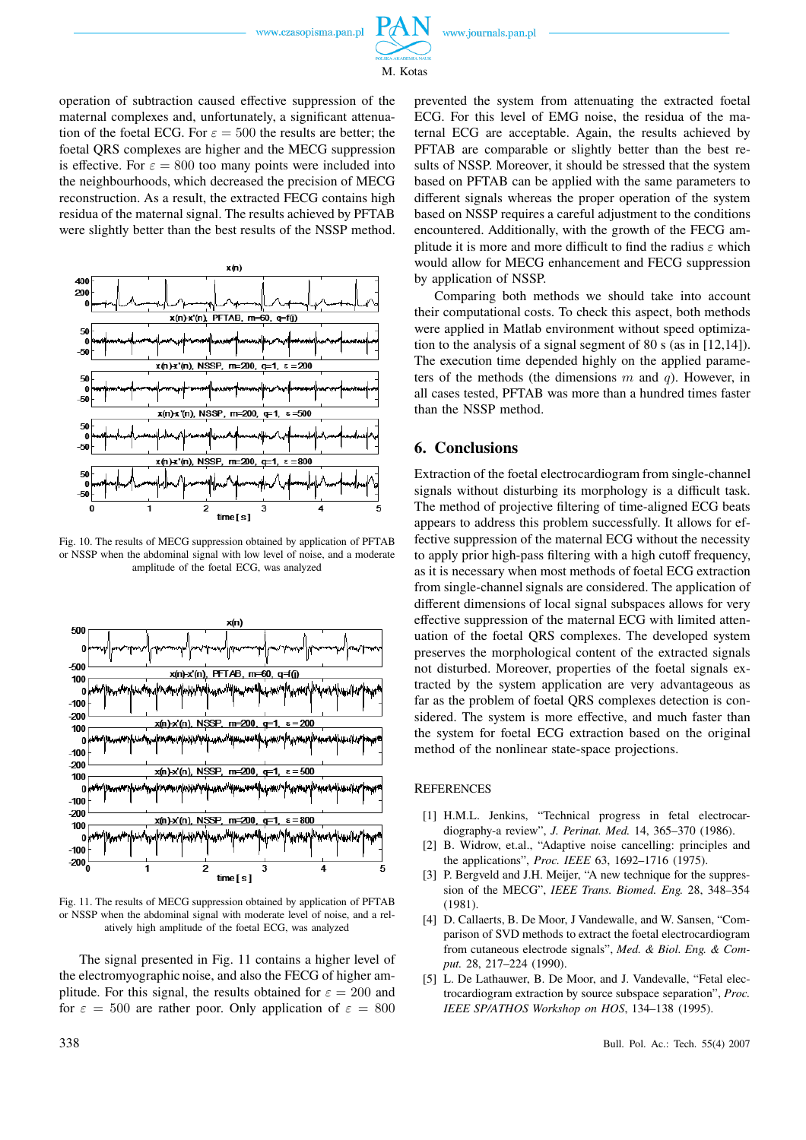

M. Kotas

operation of subtraction caused effective suppression of the maternal complexes and, unfortunately, a significant attenuation of the foetal ECG. For  $\varepsilon = 500$  the results are better; the foetal QRS complexes are higher and the MECG suppression is effective. For  $\varepsilon = 800$  too many points were included into the neighbourhoods, which decreased the precision of MECG reconstruction. As a result, the extracted FECG contains high residua of the maternal signal. The results achieved by PFTAB were slightly better than the best results of the NSSP method.



Fig. 10. The results of MECG suppression obtained by application of PFTAB or NSSP when the abdominal signal with low level of noise, and a moderate amplitude of the foetal ECG, was analyzed



Fig. 11. The results of MECG suppression obtained by application of PFTAB or NSSP when the abdominal signal with moderate level of noise, and a relatively high amplitude of the foetal ECG, was analyzed

The signal presented in Fig. 11 contains a higher level of the electromyographic noise, and also the FECG of higher amplitude. For this signal, the results obtained for  $\varepsilon = 200$  and for  $\varepsilon = 500$  are rather poor. Only application of  $\varepsilon = 800$  prevented the system from attenuating the extracted foetal ECG. For this level of EMG noise, the residua of the maternal ECG are acceptable. Again, the results achieved by PFTAB are comparable or slightly better than the best results of NSSP. Moreover, it should be stressed that the system based on PFTAB can be applied with the same parameters to different signals whereas the proper operation of the system based on NSSP requires a careful adjustment to the conditions encountered. Additionally, with the growth of the FECG amplitude it is more and more difficult to find the radius  $\varepsilon$  which would allow for MECG enhancement and FECG suppression by application of NSSP.

Comparing both methods we should take into account their computational costs. To check this aspect, both methods were applied in Matlab environment without speed optimization to the analysis of a signal segment of 80 s (as in [12,14]). The execution time depended highly on the applied parameters of the methods (the dimensions  $m$  and  $q$ ). However, in all cases tested, PFTAB was more than a hundred times faster than the NSSP method.

### **6. Conclusions**

Extraction of the foetal electrocardiogram from single-channel signals without disturbing its morphology is a difficult task. The method of projective filtering of time-aligned ECG beats appears to address this problem successfully. It allows for effective suppression of the maternal ECG without the necessity to apply prior high-pass filtering with a high cutoff frequency, as it is necessary when most methods of foetal ECG extraction from single-channel signals are considered. The application of different dimensions of local signal subspaces allows for very effective suppression of the maternal ECG with limited attenuation of the foetal QRS complexes. The developed system preserves the morphological content of the extracted signals not disturbed. Moreover, properties of the foetal signals extracted by the system application are very advantageous as far as the problem of foetal QRS complexes detection is considered. The system is more effective, and much faster than the system for foetal ECG extraction based on the original method of the nonlinear state-space projections.

#### REFERENCES

- [1] H.M.L. Jenkins, "Technical progress in fetal electrocardiography-a review", *J. Perinat. Med.* 14, 365–370 (1986).
- [2] B. Widrow, et.al., "Adaptive noise cancelling: principles and the applications", *Proc. IEEE* 63, 1692–1716 (1975).
- [3] P. Bergveld and J.H. Meijer, "A new technique for the suppression of the MECG", *IEEE Trans. Biomed. Eng.* 28, 348–354 (1981).
- [4] D. Callaerts, B. De Moor, J Vandewalle, and W. Sansen, "Comparison of SVD methods to extract the foetal electrocardiogram from cutaneous electrode signals", *Med. & Biol. Eng. & Comput.* 28, 217–224 (1990).
- [5] L. De Lathauwer, B. De Moor, and J. Vandevalle, "Fetal electrocardiogram extraction by source subspace separation", *Proc. IEEE SP/ATHOS Workshop on HOS*, 134–138 (1995).